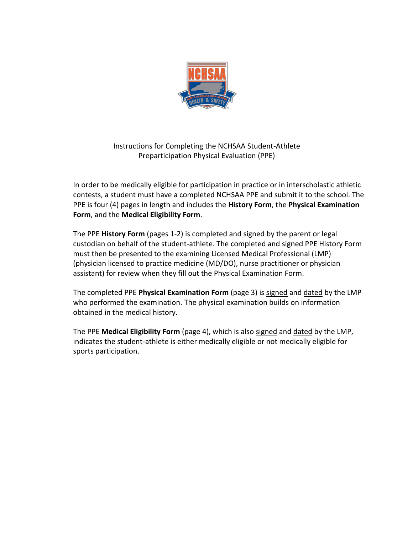

Instructions for Completing the NCHSAA Student-Athlete Preparticipation Physical Evaluation (PPE)

In order to be medically eligible for participation in practice or in interscholastic athletic contests, a student must have a completed NCHSAA PPE and submit it to the school. The PPE is four (4) pages in length and includes the **History Form**, the **Physical Examination Form**, and the **Medical Eligibility Form**.

The PPE **History Form** (pages 1-2) is completed and signed by the parent or legal custodian on behalf of the student-athlete. The completed and signed PPE History Form must then be presented to the examining Licensed Medical Professional (LMP) (physician licensed to practice medicine (MD/DO), nurse practitioner or physician assistant) for review when they fill out the Physical Examination Form.

The completed PPE **Physical Examination Form** (page 3) is signed and dated by the LMP who performed the examination. The physical examination builds on information obtained in the medical history.

The PPE **Medical Eligibility Form** (page 4), which is also signed and dated by the LMP, indicates the student-athlete is either medically eligible or not medically eligible for sports participation.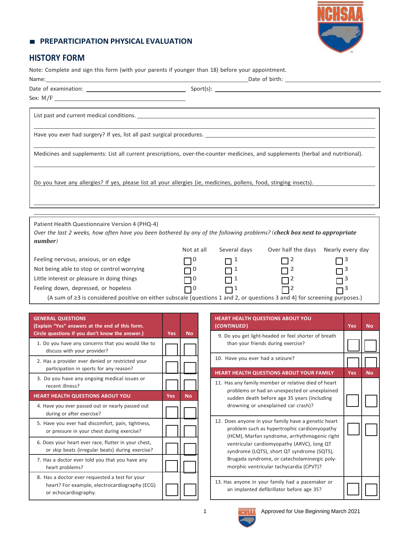## ■ **PREPARTICIPATION PHYSICAL EVALUATION**

# **HISTORY FORM**

Note: Complete and sign this form (with your parents if younger than 18) before your appointment.

| Name:                                                                                                                                                                                                                         |            |                     |                                     |   |  |  |  |
|-------------------------------------------------------------------------------------------------------------------------------------------------------------------------------------------------------------------------------|------------|---------------------|-------------------------------------|---|--|--|--|
|                                                                                                                                                                                                                               |            |                     |                                     |   |  |  |  |
|                                                                                                                                                                                                                               |            |                     |                                     |   |  |  |  |
|                                                                                                                                                                                                                               |            |                     |                                     |   |  |  |  |
| Have you ever had surgery? If yes, list all past surgical procedures. The manufacturer of the surface of the surface of the surface of the surface of the surface of the surface of the surface of the surface of the surface |            |                     |                                     |   |  |  |  |
| Medicines and supplements: List all current prescriptions, over-the-counter medicines, and supplements (herbal and nutritional).                                                                                              |            |                     |                                     |   |  |  |  |
| Do you have any allergies? If yes, please list all your allergies (ie, medicines, pollens, food, stinging insects).                                                                                                           |            |                     |                                     |   |  |  |  |
| Patient Health Questionnaire Version 4 (PHQ-4)                                                                                                                                                                                |            |                     |                                     |   |  |  |  |
| Over the last 2 weeks, how often have you been bothered by any of the following problems? (check box next to appropriate<br>number)                                                                                           |            |                     |                                     |   |  |  |  |
|                                                                                                                                                                                                                               | Not at all | Several days        | Over half the days Nearly every day |   |  |  |  |
| Feeling nervous, anxious, or on edge                                                                                                                                                                                          | $\Box$ 0   | $\Box$ 1            | 72                                  | 3 |  |  |  |
| Not being able to stop or control worrying                                                                                                                                                                                    | $\Box$     | $\Box$ <sup>1</sup> | 72                                  |   |  |  |  |
| Little interest or pleasure in doing things                                                                                                                                                                                   | 10         | □                   |                                     |   |  |  |  |
| Feeling down, depressed, or hopeless                                                                                                                                                                                          | $\Box$     | $\Box$ <sup>1</sup> | $\Box^2$                            | 3 |  |  |  |
| (A sum of ≥3 is considered positive on either subscale [questions 1 and 2, or questions 3 and 4] for screening purposes.)                                                                                                     |            |                     |                                     |   |  |  |  |

| <b>GENERAL QUESTIONS</b><br>(Explain "Yes" answers at the end of this form.<br>Circle questions if you don't know the answer.) | <b>Yes</b> | <b>No</b> |
|--------------------------------------------------------------------------------------------------------------------------------|------------|-----------|
| 1. Do you have any concerns that you would like to<br>discuss with your provider?                                              |            |           |
| 2. Has a provider ever denied or restricted your<br>participation in sports for any reason?                                    |            |           |
| 3. Do you have any ongoing medical issues or<br>recent illness?                                                                |            |           |
| <b>HEART HEALTH QUESTIONS ABOUT YOU</b>                                                                                        | <b>Yes</b> | <b>No</b> |
| 4. Have you ever passed out or nearly passed out<br>during or after exercise?                                                  |            |           |
| 5. Have you ever had discomfort, pain, tightness,<br>or pressure in your chest during exercise?                                |            |           |
| 6. Does your heart ever race, flutter in your chest,<br>or skip beats (irregular beats) during exercise?                       |            |           |
| 7. Has a doctor ever told you that you have any<br>heart problems?                                                             |            |           |
| 8. Has a doctor ever requested a test for your<br>heart? For example, electrocardiography (ECG)<br>or echocardiography.        |            |           |

| <b>HEART HEALTH QUESTIONS ABOUT YOU</b><br>(CONTINUED)                                                                                                                                                                                                                                                                                    | <b>Yes</b> | <b>No</b> |
|-------------------------------------------------------------------------------------------------------------------------------------------------------------------------------------------------------------------------------------------------------------------------------------------------------------------------------------------|------------|-----------|
| 9. Do you get light-headed or feel shorter of breath<br>than your friends during exercise?                                                                                                                                                                                                                                                |            |           |
| 10. Have you ever had a seizure?                                                                                                                                                                                                                                                                                                          |            |           |
| HEART HEALTH QUESTIONS ABOUT YOUR FAMILY                                                                                                                                                                                                                                                                                                  | <b>Yes</b> | <b>No</b> |
| 11. Has any family member or relative died of heart<br>problems or had an unexpected or unexplained<br>sudden death before age 35 years (including<br>drowning or unexplained car crash)?                                                                                                                                                 |            |           |
| 12. Does anyone in your family have a genetic heart<br>problem such as hypertrophic cardiomyopathy<br>(HCM), Marfan syndrome, arrhythmogenic right<br>ventricular cardiomyopathy (ARVC), long QT<br>syndrome (LQTS), short QT syndrome (SQTS),<br>Brugada syndrome, or catecholaminergic poly-<br>morphic ventricular tachycardia (CPVT)? |            |           |
| 13. Has anyone in your family had a pacemaker or<br>an implanted defibrillator before age 35?                                                                                                                                                                                                                                             |            |           |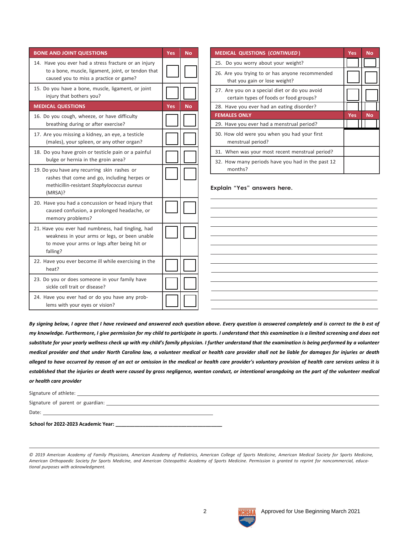| <b>BONE AND JOINT QUESTIONS</b>                                                                                                                                | <b>Yes</b> | <b>No</b> | N                   |
|----------------------------------------------------------------------------------------------------------------------------------------------------------------|------------|-----------|---------------------|
| 14. Have you ever had a stress fracture or an injury<br>to a bone, muscle, ligament, joint, or tendon that<br>caused you to miss a practice or game?           |            |           | 2<br>2              |
| 15. Do you have a bone, muscle, ligament, or joint<br>injury that bothers you?                                                                                 |            |           | $\overline{2}$      |
| <b>MEDICAL QUESTIONS</b>                                                                                                                                       | <b>Yes</b> | <b>No</b> | $\overline{2}$      |
| 16. Do you cough, wheeze, or have difficulty<br>breathing during or after exercise?                                                                            |            |           | F<br>$\overline{2}$ |
| 17. Are you missing a kidney, an eye, a testicle<br>(males), your spleen, or any other organ?                                                                  |            |           | 3                   |
| 18. Do you have groin or testicle pain or a painful<br>bulge or hernia in the groin area?                                                                      |            |           | $\overline{3}$<br>3 |
| 19. Do you have any recurring skin rashes or<br>rashes that come and go, including herpes or<br>methicillin-resistant Staphylococcus aureus<br>(MRSA)?         |            |           | Ex                  |
| 20. Have you had a concussion or head injury that<br>caused confusion, a prolonged headache, or<br>memory problems?                                            |            |           |                     |
| 21. Have you ever had numbness, had tingling, had<br>weakness in your arms or legs, or been unable<br>to move your arms or legs after being hit or<br>falling? |            |           |                     |
| 22. Have you ever become ill while exercising in the<br>heat?                                                                                                  |            |           |                     |
| 23. Do you or does someone in your family have<br>sickle cell trait or disease?                                                                                |            |           |                     |
| 24. Have you ever had or do you have any prob-<br>lems with your eyes or vision?                                                                               |            |           |                     |

| <b>MEDICAL QUESTIONS (CONTINUED)</b>                                                    | Yes | <b>No</b> |
|-----------------------------------------------------------------------------------------|-----|-----------|
| 25. Do you worry about your weight?                                                     |     |           |
| 26. Are you trying to or has anyone recommended<br>that you gain or lose weight?        |     |           |
| 27. Are you on a special diet or do you avoid<br>certain types of foods or food groups? |     |           |
| 28. Have you ever had an eating disorder?                                               |     |           |
| <b>FEMALES ONLY</b>                                                                     | Yes | <b>No</b> |
| 29. Have you ever had a menstrual period?                                               |     |           |
| 30. How old were you when you had your first<br>menstrual period?                       |     |           |
| 31. When was your most recent menstrual period?                                         |     |           |
| 32. How many periods have you had in the past 12<br>months?                             |     |           |

**Explain "Yes" answers here.**

*By signing below, I agree that I have reviewed and answered each question above. Every question is answered completely and is correct to the b est of my knowledge. Furthermore, I give permission for my child to participate in sports. I understand that this examination is a limited screening and does not substitute for your yearly wellness check up with my child's family physician. I further understand that the examination is being performed by a volunteer medical provider and that under North Carolina law, a volunteer medical or health care provider shall not be liable for damages for injuries or death alleged to have occurred by reason of an act or omission in the medical or health care provider's voluntary provision of health care services unless it is established that the injuries or death were caused by gross negligence, wanton conduct, or intentional wrongdoing on the part of the volunteer medical or health care provider*

| Signature of athlete:                                                                                   |  |
|---------------------------------------------------------------------------------------------------------|--|
| Signature of parent or guardian: example and the state of the state of the state of parent or guardian: |  |
| Date:                                                                                                   |  |
| School for 2022-2023 Academic Year:                                                                     |  |

© 2019 American Academy of Family Physicians, American Academy of Pediatrics, American College of Sports Medicine, American Medical Society for Sports Medicine, American Orthopaedic Society for Sports Medicine, and American Osteopathic Academy of Sports Medicine. Permission is granted to reprint for noncommercial, educa*tional purposes with acknowledgment.*

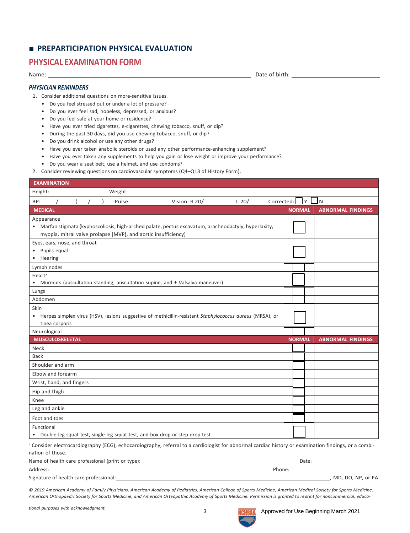## ■ **PREPARTICIPATION PHYSICAL EVALUATION**

## **PHYSICAL EXAMINATION FORM**

Name:

#### *PHYSICIAN REMINDERS*

1. Consider additional questions on more-sensitive issues.

- Do you feel stressed out or under a lot of pressure?
- Do you ever feel sad, hopeless, depressed, or anxious?
- Do you feel safe at your home or residence?
- Have you ever tried cigarettes, e-cigarettes, chewing tobacco, snuff, or dip?
- During the past 30 days, did you use chewing tobacco, snuff, or dip?
- Do you drink alcohol or use any other drugs?
- Have you ever taken anabolic steroids or used any other performance-enhancing supplement?
- Have you ever taken any supplements to help you gain or lose weight or improve your performance?
- Do you wear a seat belt, use a helmet, and use condoms?
- 2. Consider reviewing questions on cardiovascular symptoms (Q4–Q13 of History Form).

| <b>EXAMINATION</b> |                                                |       |           |                                                                |                                                                                                                                                      |         |            |               |            |                          |
|--------------------|------------------------------------------------|-------|-----------|----------------------------------------------------------------|------------------------------------------------------------------------------------------------------------------------------------------------------|---------|------------|---------------|------------|--------------------------|
| Height:            |                                                |       |           | Weight:                                                        |                                                                                                                                                      |         |            |               |            |                          |
| BP:                |                                                | $($ / | $\lambda$ | Pulse:                                                         | Vision: R 20/                                                                                                                                        | $L$ 20/ | Corrected: |               | $Y \cup N$ |                          |
| <b>MEDICAL</b>     |                                                |       |           |                                                                |                                                                                                                                                      |         |            | <b>NORMAL</b> |            | <b>ABNORMAL FINDINGS</b> |
| Appearance         |                                                |       |           | myopia, mitral valve prolapse [MVP], and aortic insufficiency) | • Marfan stigmata (kyphoscoliosis, high-arched palate, pectus excavatum, arachnodactyly, hyperlaxity,                                                |         |            |               |            |                          |
| • Hearing          | Eyes, ears, nose, and throat<br>• Pupils equal |       |           |                                                                |                                                                                                                                                      |         |            |               |            |                          |
| Lymph nodes        |                                                |       |           |                                                                |                                                                                                                                                      |         |            |               |            |                          |
| Heart <sup>a</sup> |                                                |       |           |                                                                | • Murmurs (auscultation standing, auscultation supine, and ± Valsalva maneuver)                                                                      |         |            |               |            |                          |
| Lungs              |                                                |       |           |                                                                |                                                                                                                                                      |         |            |               |            |                          |
| Abdomen            |                                                |       |           |                                                                |                                                                                                                                                      |         |            |               |            |                          |
| Skin<br>$\bullet$  | tinea corporis                                 |       |           |                                                                | Herpes simplex virus (HSV), lesions suggestive of methicillin-resistant Staphylococcus aureus (MRSA), or                                             |         |            |               |            |                          |
|                    |                                                |       |           |                                                                |                                                                                                                                                      |         |            |               |            |                          |
| Neurological       |                                                |       |           |                                                                |                                                                                                                                                      |         |            |               |            |                          |
|                    | <b>MUSCULOSKELETAL</b>                         |       |           |                                                                |                                                                                                                                                      |         |            | <b>NORMAL</b> |            | <b>ABNORMAL FINDINGS</b> |
| Neck               |                                                |       |           |                                                                |                                                                                                                                                      |         |            |               |            |                          |
| <b>Back</b>        |                                                |       |           |                                                                |                                                                                                                                                      |         |            |               |            |                          |
|                    | Shoulder and arm                               |       |           |                                                                |                                                                                                                                                      |         |            |               |            |                          |
|                    | Elbow and forearm                              |       |           |                                                                |                                                                                                                                                      |         |            |               |            |                          |
|                    | Wrist, hand, and fingers                       |       |           |                                                                |                                                                                                                                                      |         |            |               |            |                          |
| Hip and thigh      |                                                |       |           |                                                                |                                                                                                                                                      |         |            |               |            |                          |
| Knee               |                                                |       |           |                                                                |                                                                                                                                                      |         |            |               |            |                          |
| Leg and ankle      |                                                |       |           |                                                                |                                                                                                                                                      |         |            |               |            |                          |
| Foot and toes      |                                                |       |           |                                                                |                                                                                                                                                      |         |            |               |            |                          |
| Functional         |                                                |       |           |                                                                | • Double-leg squat test, single-leg squat test, and box drop or step drop test                                                                       |         |            |               |            |                          |
| nation of those.   |                                                |       |           |                                                                | a Consider electrocardiography (ECG), echocardiography, referral to a cardiologist for abnormal cardiac history or examination findings, or a combi- |         |            |               |            |                          |
| Address:           |                                                |       |           | Name of health care professional (print or type):              |                                                                                                                                                      |         | Phone:     |               |            | Date:                    |

Signature of health care professional: , MD, DO, NP, or PA (Signature of health care professional: , MD, DO, NP, or PA

© 2019 American Academy of Family Physicians, American Academy of Pediatrics, American College of Sports Medicine, American Medical Society for Sports Medicine, American Orthopaedic Society for Sports Medicine, and American Osteopathic Academy of Sports Medicine. Permission is granted to reprint for noncommercial, educa-

Date of birth: